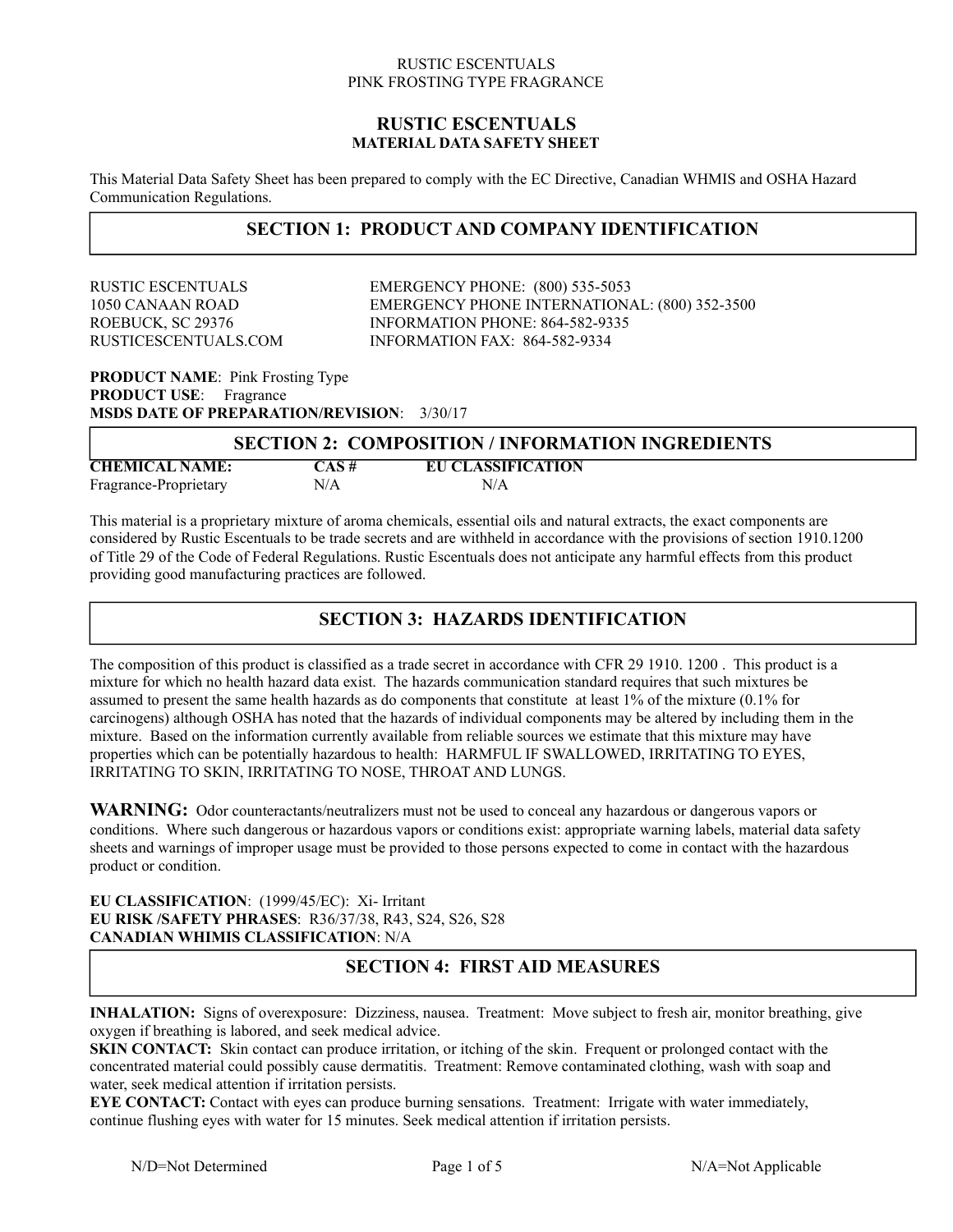### **RUSTIC ESCENTUALS MATERIAL DATA SAFETY SHEET**

This Material Data Safety Sheet has been prepared to comply with the EC Directive, Canadian WHMIS and OSHA Hazard Communication Regulations.

# **SECTION 1: PRODUCT AND COMPANY IDENTIFICATION**

RUSTIC ESCENTUALS EMERGENCY PHONE: (800) 535-5053 1050 CANAAN ROAD EMERGENCY PHONE INTERNATIONAL: (800) 352-3500 ROEBUCK, SC 29376 INFORMATION PHONE: 864-582-9335 RUSTICESCENTUALS.COM INFORMATION FAX: 864-582-9334

**PRODUCT NAME**: Pink Frosting Type **PRODUCT USE:** Fragrance **MSDS DATE OF PREPARATION/REVISION**: 3/30/17

| <b>SECTION 2: COMPOSITION / INFORMATION INGREDIENTS</b> |          |                          |
|---------------------------------------------------------|----------|--------------------------|
| <b>CHEMICAL NAME:</b>                                   | $CAS \#$ | <b>EU CLASSIFICATION</b> |
| Fragrance-Proprietary                                   | N/A      | N/A                      |

This material is a proprietary mixture of aroma chemicals, essential oils and natural extracts, the exact components are considered by Rustic Escentuals to be trade secrets and are withheld in accordance with the provisions of section 1910.1200 of Title 29 of the Code of Federal Regulations. Rustic Escentuals does not anticipate any harmful effects from this product providing good manufacturing practices are followed.

# **SECTION 3: HAZARDS IDENTIFICATION**

The composition of this product is classified as a trade secret in accordance with CFR 29 1910. 1200 . This product is a mixture for which no health hazard data exist. The hazards communication standard requires that such mixtures be assumed to present the same health hazards as do components that constitute at least 1% of the mixture (0.1% for carcinogens) although OSHA has noted that the hazards of individual components may be altered by including them in the mixture. Based on the information currently available from reliable sources we estimate that this mixture may have properties which can be potentially hazardous to health: HARMFUL IF SWALLOWED, IRRITATING TO EYES, IRRITATING TO SKIN, IRRITATING TO NOSE, THROAT AND LUNGS.

**WARNING:** Odor counteractants/neutralizers must not be used to conceal any hazardous or dangerous vapors or conditions. Where such dangerous or hazardous vapors or conditions exist: appropriate warning labels, material data safety sheets and warnings of improper usage must be provided to those persons expected to come in contact with the hazardous product or condition.

### **EU CLASSIFICATION**: (1999/45/EC): Xi- Irritant **EU RISK /SAFETY PHRASES**: R36/37/38, R43, S24, S26, S28 **CANADIAN WHIMIS CLASSIFICATION**: N/A

# **SECTION 4: FIRST AID MEASURES**

**INHALATION:** Signs of overexposure: Dizziness, nausea. Treatment: Move subject to fresh air, monitor breathing, give oxygen if breathing is labored, and seek medical advice.

**SKIN CONTACT:** Skin contact can produce irritation, or itching of the skin. Frequent or prolonged contact with the concentrated material could possibly cause dermatitis. Treatment: Remove contaminated clothing, wash with soap and water, seek medical attention if irritation persists.

**EYE CONTACT:** Contact with eyes can produce burning sensations. Treatment: Irrigate with water immediately, continue flushing eyes with water for 15 minutes. Seek medical attention if irritation persists.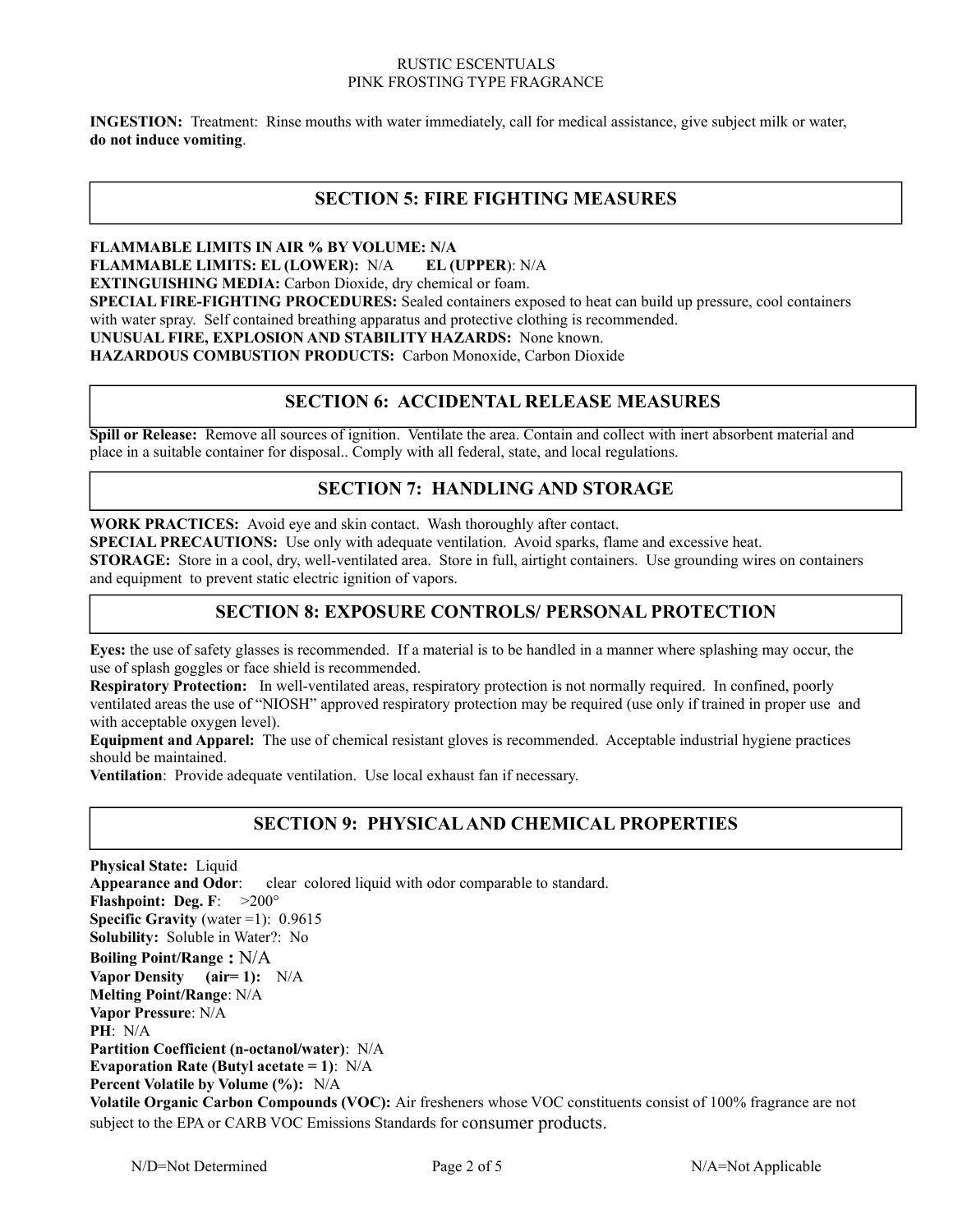**INGESTION:** Treatment: Rinse mouths with water immediately, call for medical assistance, give subject milk or water, **do not induce vomiting**.

# **SECTION 5: FIRE FIGHTING MEASURES**

### **FLAMMABLE LIMITS IN AIR % BY VOLUME: N/A**

**FLAMMABLE LIMITS: EL (LOWER):** N/A **EL (UPPER**): N/A

**EXTINGUISHING MEDIA:** Carbon Dioxide, dry chemical or foam.

**SPECIAL FIRE-FIGHTING PROCEDURES:** Sealed containers exposed to heat can build up pressure, cool containers with water spray. Self contained breathing apparatus and protective clothing is recommended.

**UNUSUAL FIRE, EXPLOSION AND STABILITY HAZARDS:** None known.

**HAZARDOUS COMBUSTION PRODUCTS:** Carbon Monoxide, Carbon Dioxide

## **SECTION 6: ACCIDENTAL RELEASE MEASURES**

**Spill or Release:** Remove all sources of ignition. Ventilate the area. Contain and collect with inert absorbent material and place in a suitable container for disposal.. Comply with all federal, state, and local regulations.

# **SECTION 7: HANDLING AND STORAGE**

**WORK PRACTICES:** Avoid eye and skin contact. Wash thoroughly after contact.

**SPECIAL PRECAUTIONS:** Use only with adequate ventilation. Avoid sparks, flame and excessive heat.

**STORAGE:** Store in a cool, dry, well-ventilated area. Store in full, airtight containers. Use grounding wires on containers and equipment to prevent static electric ignition of vapors.

# **SECTION 8: EXPOSURE CONTROLS/ PERSONAL PROTECTION**

**Eyes:** the use of safety glasses is recommended. If a material is to be handled in a manner where splashing may occur, the use of splash goggles or face shield is recommended.

**Respiratory Protection:** In well-ventilated areas, respiratory protection is not normally required. In confined, poorly ventilated areas the use of "NIOSH" approved respiratory protection may be required (use only if trained in proper use and with acceptable oxygen level).

**Equipment and Apparel:** The use of chemical resistant gloves is recommended. Acceptable industrial hygiene practices should be maintained.

**Ventilation**: Provide adequate ventilation. Use local exhaust fan if necessary.

# **SECTION 9: PHYSICAL AND CHEMICAL PROPERTIES**

**Physical State: Liquid Appearance and Odor:** clear colored liquid with odor comparable to standard. **Flashpoint: Deg. F**: >200° **Specific Gravity** (water  $=1$ ): 0.9615 **Solubility:** Soluble in Water?: No **Boiling Point/Range :** N/A **Vapor Density (air= 1):** N/A **Melting Point/Range**: N/A **Vapor Pressure**: N/A **PH**: N/A **Partition Coefficient (n-octanol/water)**: N/A **Evaporation Rate (Butyl acetate = 1)**: N/A **Percent Volatile by Volume (%):** N/A **Volatile Organic Carbon Compounds (VOC):** Air fresheners whose VOC constituents consist of 100% fragrance are not subject to the EPA or CARB VOC Emissions Standards for consumer products.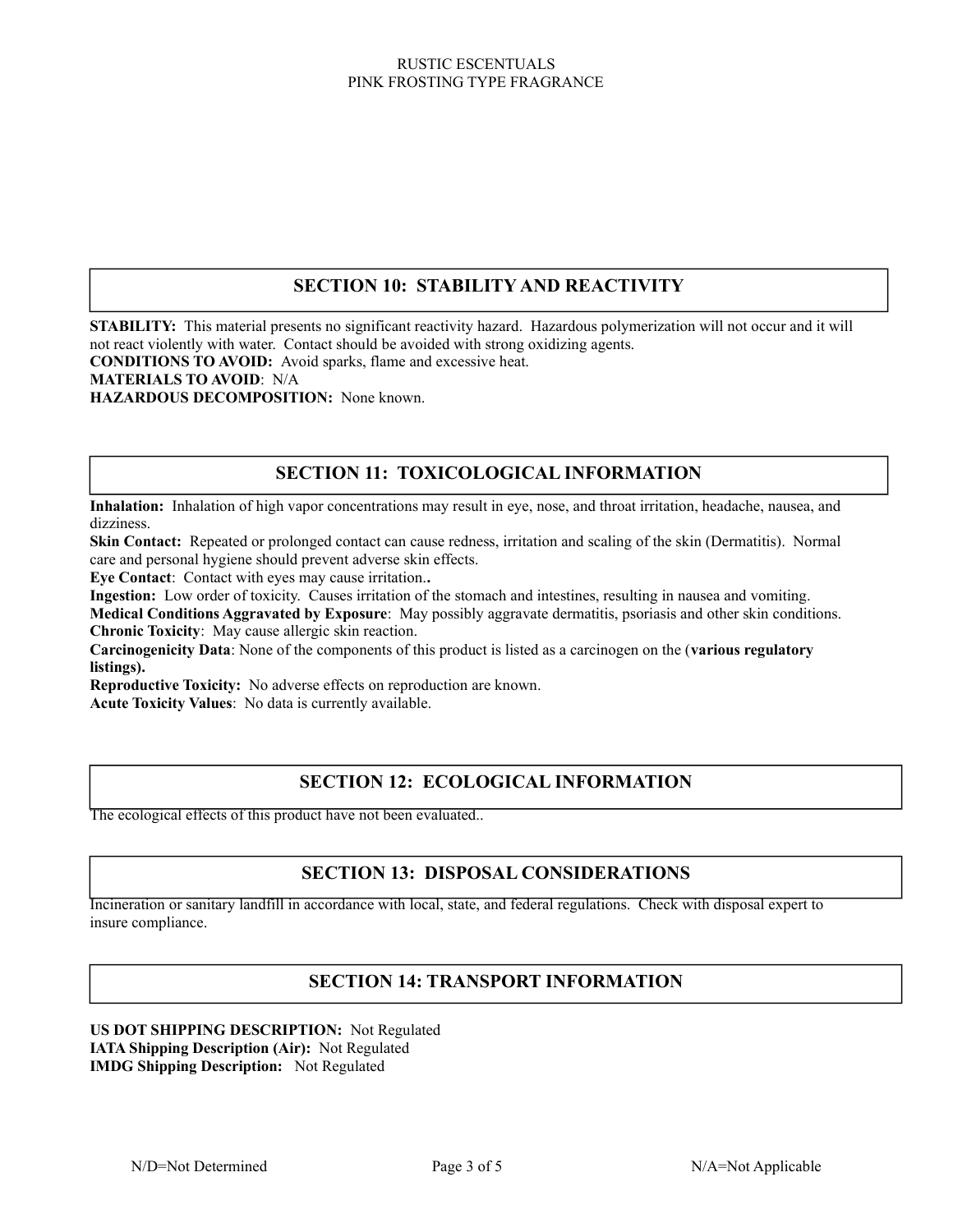# **SECTION 10: STABILITY AND REACTIVITY**

**STABILITY:** This material presents no significant reactivity hazard. Hazardous polymerization will not occur and it will not react violently with water. Contact should be avoided with strong oxidizing agents.

**CONDITIONS TO AVOID:** Avoid sparks, flame and excessive heat.

### **MATERIALS TO AVOID**: N/A

**HAZARDOUS DECOMPOSITION:** None known.

## **SECTION 11: TOXICOLOGICAL INFORMATION**

**Inhalation:** Inhalation of high vapor concentrations may result in eye, nose, and throat irritation, headache, nausea, and dizziness.

**Skin Contact:** Repeated or prolonged contact can cause redness, irritation and scaling of the skin (Dermatitis). Normal care and personal hygiene should prevent adverse skin effects.

**Eye Contact**: Contact with eyes may cause irritation.**.**

**Ingestion:** Low order of toxicity. Causes irritation of the stomach and intestines, resulting in nausea and vomiting.

**Medical Conditions Aggravated by Exposure**: May possibly aggravate dermatitis, psoriasis and other skin conditions. **Chronic Toxicity**: May cause allergic skin reaction.

**Carcinogenicity Data**: None of the components of this product is listed as a carcinogen on the (**various regulatory listings).**

**Reproductive Toxicity:** No adverse effects on reproduction are known.

**Acute Toxicity Values**: No data is currently available.

# **SECTION 12: ECOLOGICAL INFORMATION**

The ecological effects of this product have not been evaluated..

#### Dispose by incineration or in a sanitary landfill in accordance with all state, local and federal regulations. **SECTION 13: DISPOSAL CONSIDERATIONS**

Incineration or sanitary landfill in accordance with local, state, and federal regulations. Check with disposal expert to insure compliance.

# **SECTION 14: TRANSPORT INFORMATION**

**US DOT SHIPPING DESCRIPTION:** Not Regulated **IATA Shipping Description (Air):** Not Regulated **IMDG Shipping Description:** Not Regulated